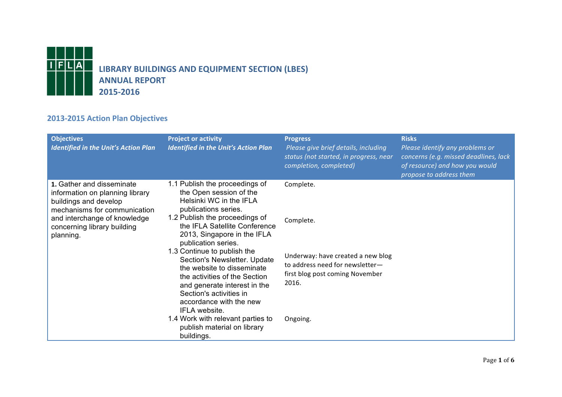

## **2013-2015 Action Plan Objectives**

| 1.1 Publish the proceedings of<br>1. Gather and disseminate<br>Complete.<br>the Open session of the<br>information on planning library<br>Helsinki WC in the IFLA<br>buildings and develop<br>publications series.<br>mechanisms for communication<br>1.2 Publish the proceedings of<br>and interchange of knowledge<br>Complete.<br>the IFLA Satellite Conference<br>concerning library building<br>2013, Singapore in the IFLA<br>planning.<br>publication series. | <b>Objectives</b><br><b>Identified in the Unit's Action Plan</b> | <b>Project or activity</b><br><b>Identified in the Unit's Action Plan</b> | <b>Progress</b><br>Please give brief details, including<br>status (not started, in progress, near<br>completion, completed) | <b>Risks</b><br>Please identify any problems or<br>concerns (e.g. missed deadlines, lack<br>of resource) and how you would<br>propose to address them |
|----------------------------------------------------------------------------------------------------------------------------------------------------------------------------------------------------------------------------------------------------------------------------------------------------------------------------------------------------------------------------------------------------------------------------------------------------------------------|------------------------------------------------------------------|---------------------------------------------------------------------------|-----------------------------------------------------------------------------------------------------------------------------|-------------------------------------------------------------------------------------------------------------------------------------------------------|
| Section's Newsletter. Update<br>to address need for newsletter-<br>the website to disseminate<br>first blog post coming November<br>the activities of the Section<br>2016.<br>and generate interest in the<br>Section's activities in<br>accordance with the new<br>IFLA website.<br>1.4 Work with relevant parties to<br>Ongoing.<br>publish material on library<br>buildings.                                                                                      |                                                                  | 1.3 Continue to publish the                                               | Underway: have created a new blog                                                                                           |                                                                                                                                                       |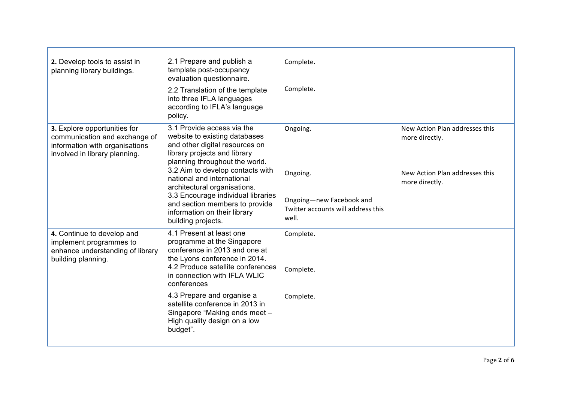| 2. Develop tools to assist in<br>planning library buildings.                                                                     | 2.1 Prepare and publish a<br>template post-occupancy<br>evaluation questionnaire.                                                                               | Complete.                                                               |                                                  |
|----------------------------------------------------------------------------------------------------------------------------------|-----------------------------------------------------------------------------------------------------------------------------------------------------------------|-------------------------------------------------------------------------|--------------------------------------------------|
|                                                                                                                                  | 2.2 Translation of the template<br>into three IFLA languages<br>according to IFLA's language<br>policy.                                                         | Complete.                                                               |                                                  |
| 3. Explore opportunities for<br>communication and exchange of<br>information with organisations<br>involved in library planning. | 3.1 Provide access via the<br>website to existing databases<br>and other digital resources on<br>library projects and library<br>planning throughout the world. | Ongoing.                                                                | New Action Plan addresses this<br>more directly. |
|                                                                                                                                  | 3.2 Aim to develop contacts with<br>national and international<br>architectural organisations.                                                                  | Ongoing.                                                                | New Action Plan addresses this<br>more directly. |
|                                                                                                                                  | 3.3 Encourage individual libraries<br>and section members to provide<br>information on their library<br>building projects.                                      | Ongoing-new Facebook and<br>Twitter accounts will address this<br>well. |                                                  |
| 4. Continue to develop and<br>implement programmes to<br>enhance understanding of library<br>building planning.                  | 4.1 Present at least one<br>programme at the Singapore<br>conference in 2013 and one at<br>the Lyons conference in 2014.                                        | Complete.                                                               |                                                  |
|                                                                                                                                  | 4.2 Produce satellite conferences<br>in connection with IFLA WLIC<br>conferences                                                                                | Complete.                                                               |                                                  |
|                                                                                                                                  | 4.3 Prepare and organise a<br>satellite conference in 2013 in<br>Singapore "Making ends meet -<br>High quality design on a low<br>budget".                      | Complete.                                                               |                                                  |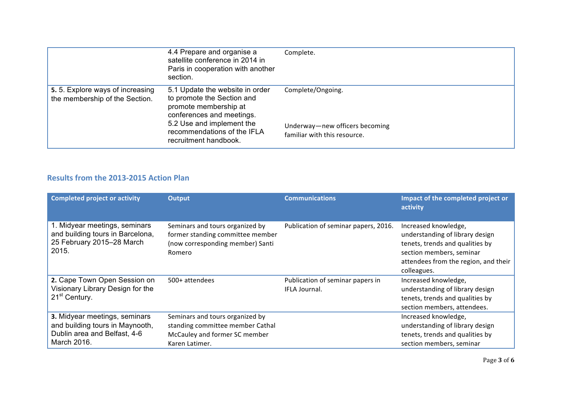|                                                                   | 4.4 Prepare and organise a<br>satellite conference in 2014 in<br>Paris in cooperation with another<br>section.                                                                                           | Complete.                                                                           |
|-------------------------------------------------------------------|----------------------------------------------------------------------------------------------------------------------------------------------------------------------------------------------------------|-------------------------------------------------------------------------------------|
| 5.5. Explore ways of increasing<br>the membership of the Section. | 5.1 Update the website in order<br>to promote the Section and<br>promote membership at<br>conferences and meetings.<br>5.2 Use and implement the<br>recommendations of the IFLA<br>recruitment handbook. | Complete/Ongoing.<br>Underway-new officers becoming<br>familiar with this resource. |

## **Results from the 2013-2015 Action Plan**

| <b>Completed project or activity</b>                                                                            | <b>Output</b>                                                                                                          | <b>Communications</b>                             | Impact of the completed project or<br>activity                                                                                                                                |
|-----------------------------------------------------------------------------------------------------------------|------------------------------------------------------------------------------------------------------------------------|---------------------------------------------------|-------------------------------------------------------------------------------------------------------------------------------------------------------------------------------|
| 1. Midyear meetings, seminars<br>and building tours in Barcelona,<br>25 February 2015-28 March<br>2015.         | Seminars and tours organized by<br>former standing committee member<br>(now corresponding member) Santi<br>Romero      | Publication of seminar papers, 2016.              | Increased knowledge,<br>understanding of library design<br>tenets, trends and qualities by<br>section members, seminar<br>attendees from the region, and their<br>colleagues. |
| 2. Cape Town Open Session on<br>Visionary Library Design for the<br>21 <sup>st</sup> Century.                   | 500+ attendees                                                                                                         | Publication of seminar papers in<br>IFLA Journal. | Increased knowledge,<br>understanding of library design<br>tenets, trends and qualities by<br>section members, attendees.                                                     |
| 3. Midyear meetings, seminars<br>and building tours in Maynooth,<br>Dublin area and Belfast, 4-6<br>March 2016. | Seminars and tours organized by<br>standing committee member Cathal<br>McCauley and former SC member<br>Karen Latimer. |                                                   | Increased knowledge,<br>understanding of library design<br>tenets, trends and qualities by<br>section members, seminar                                                        |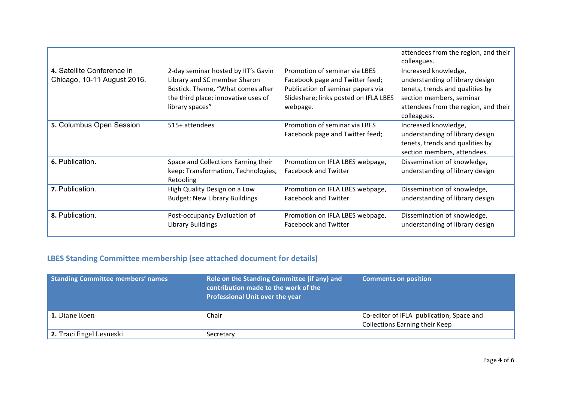|                                                           |                                                                                                                                                                    |                                                                                                                                                            | attendees from the region, and their<br>colleagues.                                                                                                                           |
|-----------------------------------------------------------|--------------------------------------------------------------------------------------------------------------------------------------------------------------------|------------------------------------------------------------------------------------------------------------------------------------------------------------|-------------------------------------------------------------------------------------------------------------------------------------------------------------------------------|
| 4. Satellite Conference in<br>Chicago, 10-11 August 2016. | 2-day seminar hosted by IIT's Gavin<br>Library and SC member Sharon<br>Bostick. Theme, "What comes after<br>the third place: innovative uses of<br>library spaces" | Promotion of seminar via LBES<br>Facebook page and Twitter feed;<br>Publication of seminar papers via<br>Slideshare; links posted on IFLA LBES<br>webpage. | Increased knowledge,<br>understanding of library design<br>tenets, trends and qualities by<br>section members, seminar<br>attendees from the region, and their<br>colleagues. |
| 5. Columbus Open Session                                  | 515+ attendees                                                                                                                                                     | Promotion of seminar via LBES<br>Facebook page and Twitter feed;                                                                                           | Increased knowledge,<br>understanding of library design<br>tenets, trends and qualities by<br>section members, attendees.                                                     |
| 6. Publication.                                           | Space and Collections Earning their<br>keep: Transformation, Technologies,<br>Retooling                                                                            | Promotion on IFLA LBES webpage,<br><b>Facebook and Twitter</b>                                                                                             | Dissemination of knowledge,<br>understanding of library design                                                                                                                |
| 7. Publication.                                           | High Quality Design on a Low<br><b>Budget: New Library Buildings</b>                                                                                               | Promotion on IFLA LBES webpage,<br><b>Facebook and Twitter</b>                                                                                             | Dissemination of knowledge,<br>understanding of library design                                                                                                                |
| 8. Publication.                                           | Post-occupancy Evaluation of<br>Library Buildings                                                                                                                  | Promotion on IFLA LBES webpage,<br><b>Facebook and Twitter</b>                                                                                             | Dissemination of knowledge,<br>understanding of library design                                                                                                                |

## **LBES Standing Committee membership (see attached document for details)**

| Standing Committee members' names | Role on the Standing Committee (if any) and<br>contribution made to the work of the<br><b>Professional Unit over the year</b> | <b>Comments on position</b>                                                       |
|-----------------------------------|-------------------------------------------------------------------------------------------------------------------------------|-----------------------------------------------------------------------------------|
| <b>1.</b> Diane Koen              | Chair                                                                                                                         | Co-editor of IFLA publication, Space and<br><b>Collections Earning their Keep</b> |
| 2. Traci Engel Lesneski           | Secretary                                                                                                                     |                                                                                   |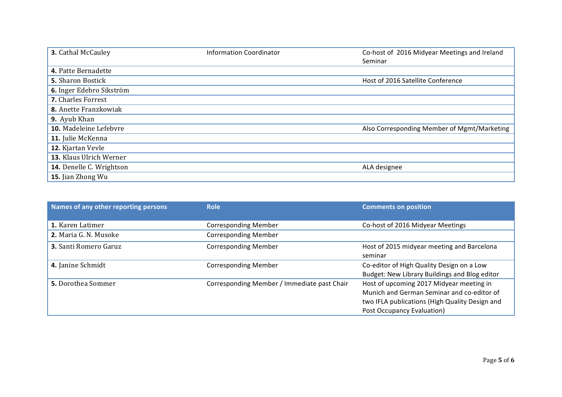| 3. Cathal McCauley        | <b>Information Coordinator</b> | Co-host of 2016 Midyear Meetings and Ireland<br>Seminar |
|---------------------------|--------------------------------|---------------------------------------------------------|
| 4. Patte Bernadette       |                                |                                                         |
| <b>5.</b> Sharon Bostick  |                                | Host of 2016 Satellite Conference                       |
| 6. Inger Edebro Sikström  |                                |                                                         |
| <b>7.</b> Charles Forrest |                                |                                                         |
| 8. Anette Franzkowiak     |                                |                                                         |
| <b>9.</b> Ayub Khan       |                                |                                                         |
| 10. Madeleine Lefebvre    |                                | Also Corresponding Member of Mgmt/Marketing             |
| 11. Julie McKenna         |                                |                                                         |
| 12. Kjartan Vevle         |                                |                                                         |
| 13. Klaus Ulrich Werner   |                                |                                                         |
| 14. Denelle C. Wrightson  |                                | ALA designee                                            |
| 15. Jian Zhong Wu         |                                |                                                         |

| Names of any other reporting persons | <b>Role</b>                                 | <b>Comments on position</b>                                                                                                                                            |
|--------------------------------------|---------------------------------------------|------------------------------------------------------------------------------------------------------------------------------------------------------------------------|
| 1. Karen Latimer                     | <b>Corresponding Member</b>                 | Co-host of 2016 Midyear Meetings                                                                                                                                       |
| 2. Maria G. N. Musoke                | <b>Corresponding Member</b>                 |                                                                                                                                                                        |
| <b>3.</b> Santi Romero Garuz         | <b>Corresponding Member</b>                 | Host of 2015 midyear meeting and Barcelona<br>seminar                                                                                                                  |
| 4. Janine Schmidt                    | <b>Corresponding Member</b>                 | Co-editor of High Quality Design on a Low<br>Budget: New Library Buildings and Blog editor                                                                             |
| <b>5.</b> Dorothea Sommer            | Corresponding Member / Immediate past Chair | Host of upcoming 2017 Midyear meeting in<br>Munich and German Seminar and co-editor of<br>two IFLA publications (High Quality Design and<br>Post Occupancy Evaluation) |